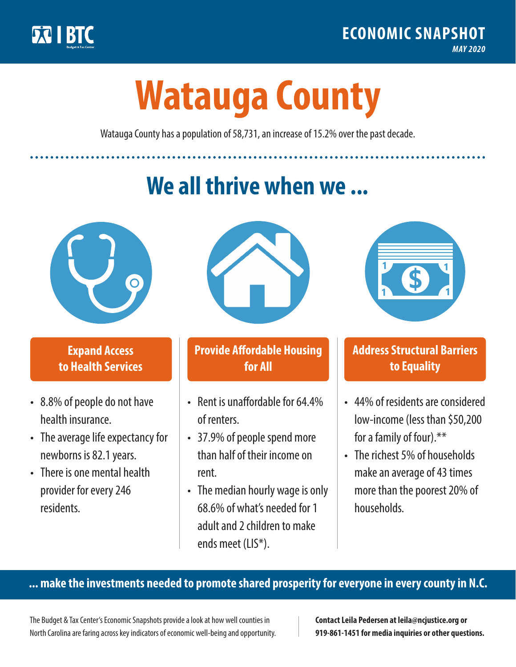

**1**

# **Watauga County**

Watauga County has a population of 58,731, an increase of 15.2% over the past decade.

# **We all thrive when we ...**



**\$ <sup>1</sup>**

**\$ <sup>1</sup>**

### **Expand Access to Health Services**

- 8.8% of people do not have health insurance.
- The average life expectancy for newborns is 82.1 years.
- There is one mental health provider for every 246 residents.



### **Provide Affordable Housing for All**

- Rent is unaffordable for 64 4% of renters.
- 37.9% of people spend more than half of their income on rent.
- The median hourly wage is only 68.6% of what's needed for 1 adult and 2 children to make ends meet (LIS\*).



## **Address Structural Barriers to Equality**

- 44% of residents are considered low-income (less than \$50,200 for a family of four).\*\*
- The richest 5% of households make an average of 43 times more than the poorest 20% of households.

#### **... make the investments needed to promote shared prosperity for everyone in every county in N.C.**

The Budget & Tax Center's Economic Snapshots provide a look at how well counties in North Carolina are faring across key indicators of economic well-being and opportunity.